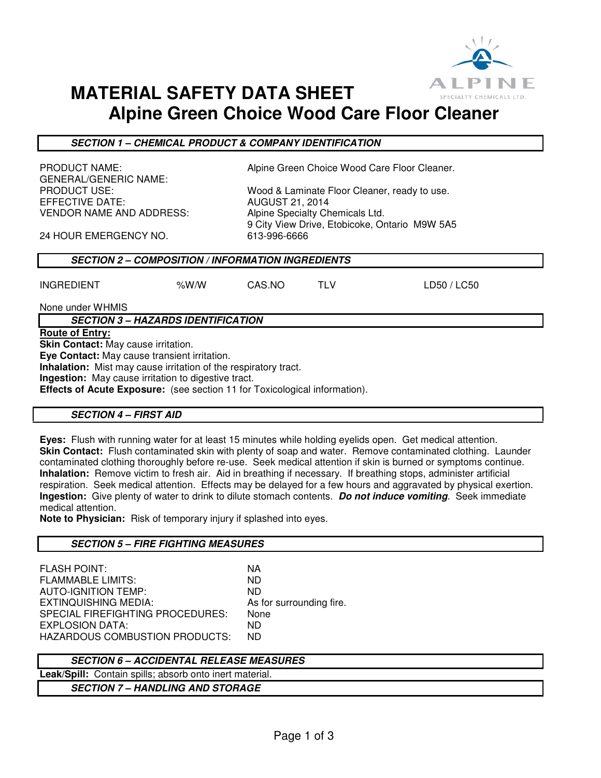

# **MATERIAL SAFETY DATA SHEET Alpine Green Choice Wood Care Floor Cleaner**

### **SECTION 1 – CHEMICAL PRODUCT & COMPANY IDENTIFICATION**

GENERAL/GENERIC NAME:<br>PRODUCT USE: EFFECTIVE DATE: AUGUST 21, 2014 VENDOR NAME AND ADDRESS: Alpine Specialty Chemicals Ltd.

PRODUCT NAME: Alpine Green Choice Wood Care Floor Cleaner.

Wood & Laminate Floor Cleaner, ready to use. 9 City View Drive, Etobicoke, Ontario M9W 5A5

24 HOUR EMERGENCY NO. 613-996-6666

# **SECTION 2 – COMPOSITION / INFORMATION INGREDIENTS**

INGREDIENT %W/W CAS.NO TLV LD50 / LC50

None under WHMIS

**SECTION 3 – HAZARDS IDENTIFICATION** 

### **Route of Entry:**

**Skin Contact:** May cause irritation.

**Eye Contact:** May cause transient irritation.

**Inhalation:** Mist may cause irritation of the respiratory tract.

**Ingestion:** May cause irritation to digestive tract.

**Effects of Acute Exposure:** (see section 11 for Toxicological information).

### **SECTION 4 – FIRST AID**

**Eyes:** Flush with running water for at least 15 minutes while holding eyelids open. Get medical attention. **Skin Contact:** Flush contaminated skin with plenty of soap and water. Remove contaminated clothing. Launder contaminated clothing thoroughly before re-use. Seek medical attention if skin is burned or symptoms continue. **Inhalation:** Remove victim to fresh air. Aid in breathing if necessary. If breathing stops, administer artificial respiration. Seek medical attention. Effects may be delayed for a few hours and aggravated by physical exertion. **Ingestion:** Give plenty of water to drink to dilute stomach contents. **Do not induce vomiting**. Seek immediate medical attention.

**Note to Physician:** Risk of temporary injury if splashed into eyes.

### **SECTION 5 – FIRE FIGHTING MEASURES**

FLASH POINT: NA FLAMMABLE LIMITS: ND AUTO-IGNITION TEMP: ND EXTINQUISHING MEDIA: As for surrounding fire. SPECIAL FIREFIGHTING PROCEDURES: None EXPLOSION DATA: ND HAZARDOUS COMBUSTION PRODUCTS: ND

# **SECTION 6 – ACCIDENTAL RELEASE MEASURES**

**Leak/Spill:** Contain spills; absorb onto inert material.

**SECTION 7 – HANDLING AND STORAGE**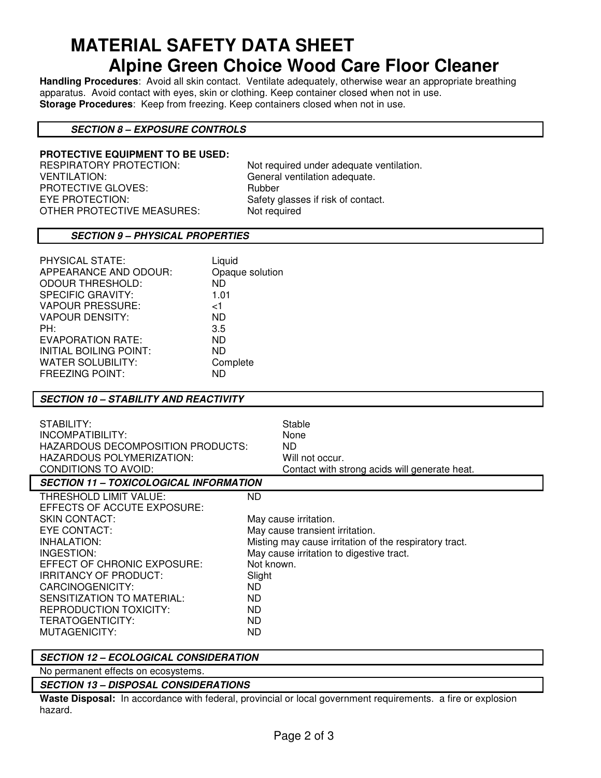# **MATERIAL SAFETY DATA SHEET Alpine Green Choice Wood Care Floor Cleaner**

**Handling Procedures**: Avoid all skin contact. Ventilate adequately, otherwise wear an appropriate breathing apparatus. Avoid contact with eyes, skin or clothing. Keep container closed when not in use. **Storage Procedures**: Keep from freezing. Keep containers closed when not in use.

### **SECTION 8 – EXPOSURE CONTROLS**

# **PROTECTIVE EQUIPMENT TO BE USED:**

VENTILATION: General ventilation adequate. PROTECTIVE GLOVES: Rubber EYE PROTECTION: Safety glasses if risk of contact.<br>OTHER PROTECTIVE MEASURES: Not required OTHER PROTECTIVE MEASURES:

Not required under adequate ventilation.

### **SECTION 9 – PHYSICAL PROPERTIES**

| PHYSICAL STATE:               | Liquid          |
|-------------------------------|-----------------|
| APPEARANCE AND ODOUR:         | Opaque solution |
| <b>ODOUR THRESHOLD:</b>       | <b>ND</b>       |
| <b>SPECIFIC GRAVITY:</b>      | 1.01            |
| <b>VAPOUR PRESSURE:</b>       | ا>              |
| <b>VAPOUR DENSITY:</b>        | ND.             |
| PH:                           | 3.5             |
| EVAPORATION RATE:             | ND.             |
| <b>INITIAL BOILING POINT:</b> | ND.             |
| <b>WATER SOLUBILITY:</b>      | Complete        |
| <b>FREEZING POINT:</b>        | ND              |

#### **SECTION 10 – STABILITY AND REACTIVITY**

| STABILITY:<br>INCOMPATIBILITY:<br>HAZARDOUS DECOMPOSITION PRODUCTS:<br>HAZARDOUS POLYMERIZATION:<br>CONDITIONS TO AVOID:                                                                                                                                                                         | Stable<br>None<br>ND.<br>Will not occur.<br>Contact with strong acids will generate heat.                                                                                                                                |  |
|--------------------------------------------------------------------------------------------------------------------------------------------------------------------------------------------------------------------------------------------------------------------------------------------------|--------------------------------------------------------------------------------------------------------------------------------------------------------------------------------------------------------------------------|--|
| <b>SECTION 11 - TOXICOLOGICAL INFORMATION</b>                                                                                                                                                                                                                                                    |                                                                                                                                                                                                                          |  |
| THRESHOLD LIMIT VALUE:<br>EFFECTS OF ACCUTE EXPOSURE:<br><b>SKIN CONTACT:</b><br>EYE CONTACT:<br>INHALATION:<br>INGESTION:<br>EFFECT OF CHRONIC EXPOSURE:<br><b>IRRITANCY OF PRODUCT:</b><br>CARCINOGENICITY:<br>SENSITIZATION TO MATERIAL:<br><b>REPRODUCTION TOXICITY:</b><br>TERATOGENTICITY: | ND<br>May cause irritation.<br>May cause transient irritation.<br>Misting may cause irritation of the respiratory tract.<br>May cause irritation to digestive tract.<br>Not known.<br>Slight<br>ND.<br>ND.<br>ND.<br>ND. |  |

#### **SECTION 12 – ECOLOGICAL CONSIDERATION**

No permanent effects on ecosystems.

#### **SECTION 13 – DISPOSAL CONSIDERATIONS**

**Waste Disposal:** In accordance with federal, provincial or local government requirements. a fire or explosion hazard.